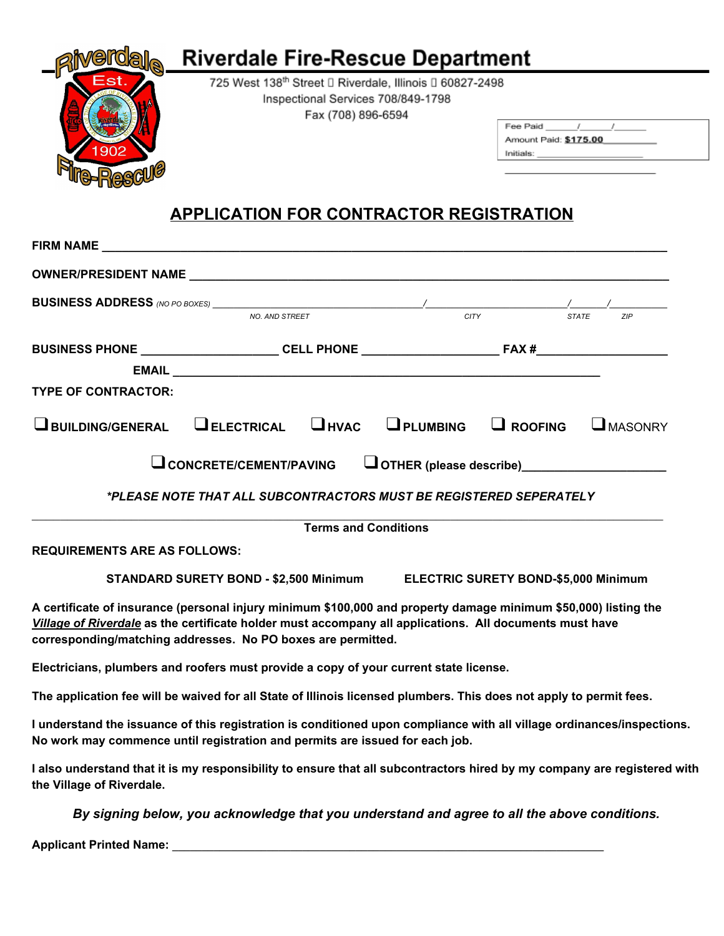

## **APPLICATION FOR CONTRACTOR REGISTRATION**

|                                                                                                                                                                             | FIRM NAME THE STATE OF THE STATE OF THE STATE OF THE STATE OF THE STATE OF THE STATE OF THE STATE OF THE STATE OF THE STATE OF THE STATE OF THE STATE OF THE STATE OF THE STATE OF THE STATE OF THE STATE OF THE STATE OF THE                                                              |  |                                                                                   |
|-----------------------------------------------------------------------------------------------------------------------------------------------------------------------------|--------------------------------------------------------------------------------------------------------------------------------------------------------------------------------------------------------------------------------------------------------------------------------------------|--|-----------------------------------------------------------------------------------|
|                                                                                                                                                                             |                                                                                                                                                                                                                                                                                            |  |                                                                                   |
|                                                                                                                                                                             |                                                                                                                                                                                                                                                                                            |  |                                                                                   |
| <b>TYPE OF CONTRACTOR:</b>                                                                                                                                                  |                                                                                                                                                                                                                                                                                            |  | BUSINESS PHONE _______________________CELL PHONE ________________________________ |
|                                                                                                                                                                             | $\mathbf 1$ building/general $\mathbf 1$ electrical $\mathbf 1$ hvac $\mathbf 1$ plumbing                                                                                                                                                                                                  |  | $\Box$ ROOFING<br>$\Box$ MASONRY                                                  |
| CONCRETE/CEMENT/PAVING COTHER (please describe) CONCRETE/CEMENT/PAVING<br>*PLEASE NOTE THAT ALL SUBCONTRACTORS MUST BE REGISTERED SEPERATELY<br><b>Terms and Conditions</b> |                                                                                                                                                                                                                                                                                            |  |                                                                                   |
| <b>REQUIREMENTS ARE AS FOLLOWS:</b>                                                                                                                                         |                                                                                                                                                                                                                                                                                            |  |                                                                                   |
| STANDARD SURETY BOND - \$2,500 Minimum ELECTRIC SURETY BOND-\$5,000 Minimum                                                                                                 |                                                                                                                                                                                                                                                                                            |  |                                                                                   |
|                                                                                                                                                                             | A certificate of insurance (personal injury minimum \$100,000 and property damage minimum \$50,000) listing the<br>Village of Riverdale as the certificate holder must accompany all applications. All documents must have<br>corresponding/matching addresses. No PO boxes are permitted. |  |                                                                                   |
|                                                                                                                                                                             | Electricians, plumbers and roofers must provide a copy of your current state license.                                                                                                                                                                                                      |  |                                                                                   |
|                                                                                                                                                                             | The application fee will be waived for all State of Illinois licensed plumbers. This does not apply to permit fees.                                                                                                                                                                        |  |                                                                                   |

**I understand the issuance of this registration is conditioned upon compliance with all village ordinances/inspections. No work may commence until registration and permits are issued for each job.**

I also understand that it is my responsibility to ensure that all subcontractors hired by my company are registered with **the Village of Riverdale.**

*By signing below, you acknowledge that you understand and agree to all the above conditions.*

**Applicant Printed Name: \_\_\_\_\_\_\_\_\_\_\_\_\_\_\_\_\_\_\_\_\_\_\_\_\_\_\_\_\_\_\_\_\_\_\_\_\_\_\_\_\_\_\_\_\_\_\_\_\_\_\_\_\_\_\_\_\_\_\_\_\_\_\_\_\_\_\_\_\_\_\_\_\_**